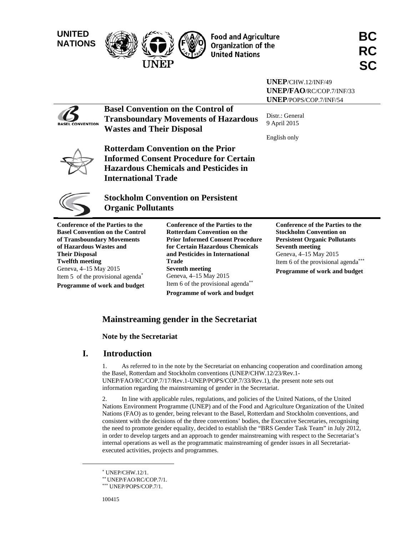**UNITED** 



**United Nations** 

|                                                                                                  |                                        |                                                                                                                                                             | UNEP/CHW.12/INF/49                                                                                                                   |
|--------------------------------------------------------------------------------------------------|----------------------------------------|-------------------------------------------------------------------------------------------------------------------------------------------------------------|--------------------------------------------------------------------------------------------------------------------------------------|
|                                                                                                  |                                        |                                                                                                                                                             | <b>UNEP/FAO/RC/COP.7/INF/33</b>                                                                                                      |
|                                                                                                  |                                        |                                                                                                                                                             | <b>UNEP/POPS/COP.7/INF/54</b>                                                                                                        |
| <b>CONVENTION</b>                                                                                | <b>Wastes and Their Disposal</b>       | <b>Basel Convention on the Control of</b><br><b>Transboundary Movements of Hazardous</b>                                                                    | Distr.: General<br>9 April 2015<br>English only                                                                                      |
|                                                                                                  | <b>International Trade</b>             | <b>Rotterdam Convention on the Prior</b><br><b>Informed Consent Procedure for Certain</b><br><b>Hazardous Chemicals and Pesticides in</b>                   |                                                                                                                                      |
|                                                                                                  | <b>Organic Pollutants</b>              | <b>Stockholm Convention on Persistent</b>                                                                                                                   |                                                                                                                                      |
| <b>Conference of the Parties to the</b><br>of Transboundary Movements<br>of Hazardous Wastes and | <b>Basel Convention on the Control</b> | <b>Conference of the Parties to the</b><br><b>Rotterdam Convention on the</b><br><b>Prior Informed Consent Procedure</b><br>for Certain Hazardous Chemicals | <b>Conference of the Parties to the</b><br><b>Stockholm Convention on</b><br><b>Persistent Organic Pollutants</b><br>Seventh meeting |

**Base of Transboundary Movements**  of H<sub>2</sub> **Their Disposal Twelfth meeting**  Geneva, 4–15 May 2015 Item 5 of the provisional agenda **Programme of work and budget** 

**for Certain Hazardous Chemicals and Pesticides in International Trade Seventh meeting**  Geneva, 4–15 May 2015 Item 6 of the provisional agenda **Programme of work and budget** 

**Conference of the Parties to the Seventh meeting**  Geneva, 4–15 May 2015 Item 6 of the provisional agenda **Programme of work and budget** 

## **Mainstreaming gender in the Secretariat**

## **Note by the Secretariat**

## **I. Introduction**

1. As referred to in the note by the Secretariat on enhancing cooperation and coordination among the Basel, Rotterdam and Stockholm conventions (UNEP/CHW.12/23/Rev.1- UNEP/FAO/RC/COP.7/17/Rev.1-UNEP/POPS/COP.7/33/Rev.1), the present note sets out information regarding the mainstreaming of gender in the Secretariat.

2. In line with applicable rules, regulations, and policies of the United Nations, of the United Nations Environment Programme (UNEP) and of the Food and Agriculture Organization of the United Nations (FAO) as to gender, being relevant to the Basel, Rotterdam and Stockholm conventions, and consistent with the decisions of the three conventions' bodies, the Executive Secretaries, recognising the need to promote gender equality, decided to establish the "BRS Gender Task Team" in July 2012, in order to develop targets and an approach to gender mainstreaming with respect to the Secretariat's internal operations as well as the programmatic mainstreaming of gender issues in all Secretariatexecuted activities, projects and programmes.

 $\overline{a}$ 

 UNEP/CHW.12/1.

<sup>\*\*</sup> UNEP/FAO/RC/COP.7/1.<br>\*\*\* UNEP/POPS/COP.7/1.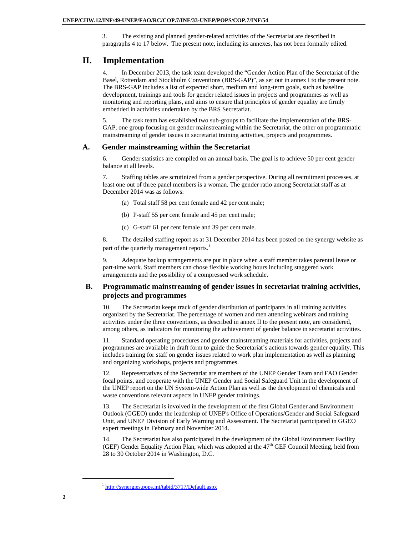3. The existing and planned gender-related activities of the Secretariat are described in paragraphs 4 to 17 below. The present note, including its annexes, has not been formally edited.

## **II. Implementation**

4. In December 2013, the task team developed the "Gender Action Plan of the Secretariat of the Basel, Rotterdam and Stockholm Conventions (BRS-GAP)", as set out in annex I to the present note. The BRS-GAP includes a list of expected short, medium and long-term goals, such as baseline development, trainings and tools for gender related issues in projects and programmes as well as monitoring and reporting plans, and aims to ensure that principles of gender equality are firmly embedded in activities undertaken by the BRS Secretariat.

5. The task team has established two sub-groups to facilitate the implementation of the BRS-GAP, one group focusing on gender mainstreaming within the Secretariat, the other on programmatic mainstreaming of gender issues in secretariat training activities, projects and programmes.

## **A. Gender mainstreaming within the Secretariat**

6. Gender statistics are compiled on an annual basis. The goal is to achieve 50 per cent gender balance at all levels.

7. Staffing tables are scrutinized from a gender perspective. During all recruitment processes, at least one out of three panel members is a woman. The gender ratio among Secretariat staff as at December 2014 was as follows:

- (a) Total staff 58 per cent female and 42 per cent male;
- (b) P-staff 55 per cent female and 45 per cent male;
- (c) G-staff 61 per cent female and 39 per cent male.

8. The detailed staffing report as at 31 December 2014 has been posted on the synergy website as part of the quarterly management reports.<sup>1</sup>

9. Adequate backup arrangements are put in place when a staff member takes parental leave or part-time work. Staff members can chose flexible working hours including staggered work arrangements and the possibility of a compressed work schedule.

## **B. Programmatic mainstreaming of gender issues in secretariat training activities, projects and programmes**

10. The Secretariat keeps track of gender distribution of participants in all training activities organized by the Secretariat. The percentage of women and men attending webinars and training activities under the three conventions, as described in annex II to the present note, are considered, among others, as indicators for monitoring the achievement of gender balance in secretariat activities.

11. Standard operating procedures and gender mainstreaming materials for activities, projects and programmes are available in draft form to guide the Secretariat's actions towards gender equality. This includes training for staff on gender issues related to work plan implementation as well as planning and organizing workshops, projects and programmes.

12. Representatives of the Secretariat are members of the UNEP Gender Team and FAO Gender focal points, and cooperate with the UNEP Gender and Social Safeguard Unit in the development of the UNEP report on the UN System-wide Action Plan as well as the development of chemicals and waste conventions relevant aspects in UNEP gender trainings.

13. The Secretariat is involved in the development of the first Global Gender and Environment Outlook (GGEO) under the leadership of UNEP's Office of Operations/Gender and Social Safeguard Unit, and UNEP Division of Early Warning and Assessment. The Secretariat participated in GGEO expert meetings in February and November 2014.

14. The Secretariat has also participated in the development of the Global Environment Facility (GEF) Gender Equality Action Plan, which was adopted at the  $47<sup>th</sup>$  GEF Council Meeting, held from 28 to 30 October 2014 in Washington, D.C.

 <sup>1</sup> http://synergies.pops.int/tabid/3717/Default.aspx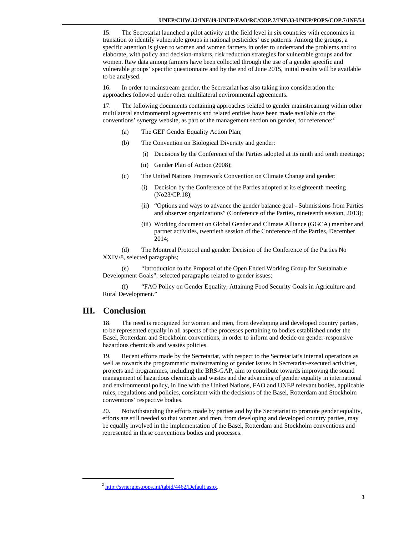15. The Secretariat launched a pilot activity at the field level in six countries with economies in transition to identify vulnerable groups in national pesticides' use patterns. Among the groups, a specific attention is given to women and women farmers in order to understand the problems and to elaborate, with policy and decision-makers, risk reduction strategies for vulnerable groups and for women. Raw data among farmers have been collected through the use of a gender specific and vulnerable groups' specific questionnaire and by the end of June 2015, initial results will be available to be analysed.

16. In order to mainstream gender, the Secretariat has also taking into consideration the approaches followed under other multilateral environmental agreements.

17. The following documents containing approaches related to gender mainstreaming within other multilateral environmental agreements and related entities have been made available on the conventions' synergy website, as part of the management section on gender, for reference:<sup>2</sup>

- (a) The GEF Gender Equality Action Plan;
- (b) The Convention on Biological Diversity and gender:
	- (i) Decisions by the Conference of the Parties adopted at its ninth and tenth meetings;
	- (ii) Gender Plan of Action (2008);
- (c) The United Nations Framework Convention on Climate Change and gender:
	- (i) Decision by the Conference of the Parties adopted at its eighteenth meeting (No23/CP.18);
	- (ii) "Options and ways to advance the gender balance goal Submissions from Parties and observer organizations" (Conference of the Parties, nineteenth session, 2013);
	- (iii) Working document on Global Gender and Climate Alliance (GGCA) member and partner activities, twentieth session of the Conference of the Parties, December 2014;

(d) The Montreal Protocol and gender: Decision of the Conference of the Parties No XXIV/8, selected paragraphs;

(e) "Introduction to the Proposal of the Open Ended Working Group for Sustainable Development Goals": selected paragraphs related to gender issues;

(f) "FAO Policy on Gender Equality, Attaining Food Security Goals in Agriculture and Rural Development."

## **III. Conclusion**

18. The need is recognized for women and men, from developing and developed country parties, to be represented equally in all aspects of the processes pertaining to bodies established under the Basel, Rotterdam and Stockholm conventions, in order to inform and decide on gender-responsive hazardous chemicals and wastes policies.

19. Recent efforts made by the Secretariat, with respect to the Secretariat's internal operations as well as towards the programmatic mainstreaming of gender issues in Secretariat-executed activities, projects and programmes, including the BRS-GAP, aim to contribute towards improving the sound management of hazardous chemicals and wastes and the advancing of gender equality in international and environmental policy, in line with the United Nations, FAO and UNEP relevant bodies, applicable rules, regulations and policies, consistent with the decisions of the Basel, Rotterdam and Stockholm conventions' respective bodies.

20. Notwithstanding the efforts made by parties and by the Secretariat to promote gender equality, efforts are still needed so that women and men, from developing and developed country parties, may be equally involved in the implementation of the Basel, Rotterdam and Stockholm conventions and represented in these conventions bodies and processes.

 <sup>2</sup> http://synergies.pops.int/tabid/4462/Default.aspx.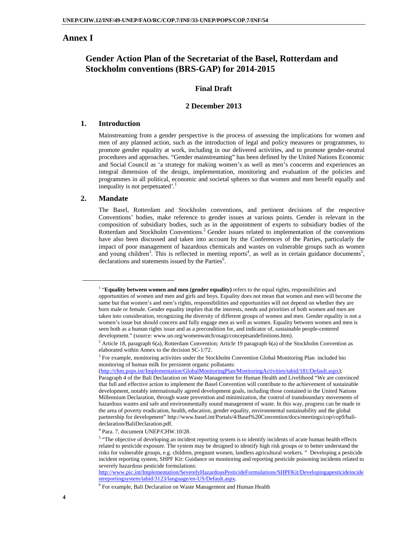## **Annex I**

## **Gender Action Plan of the Secretariat of the Basel, Rotterdam and Stockholm conventions (BRS-GAP) for 2014-2015**

## **Final Draft**

#### **2 December 2013**

### **1. Introduction**

Mainstreaming from a gender perspective is the process of assessing the implications for women and men of any planned action, such as the introduction of legal and policy measures or programmes, to promote gender equality at work, including in our delivered activities, and to promote gender-neutral procedures and approaches. "Gender mainstreaming" has been defined by the United Nations Economic and Social Council as 'a strategy for making women's as well as men's concerns and experiences an integral dimension of the design, implementation, monitoring and evaluation of the policies and programmes in all political, economic and societal spheres so that women and men benefit equally and inequality is not perpetuated'.<sup>1</sup>

#### **2. Mandate**

The Basel, Rotterdam and Stockholm conventions, and pertinent decisions of the respective Conventions' bodies, make reference to gender issues at various points. Gender is relevant in the composition of subsidiary bodies, such as in the appointment of experts to subsidiary bodies of the Rotterdam and Stockholm Conventions.<sup>2</sup> Gender issues related to implementation of the conventions have also been discussed and taken into account by the Conferences of the Parties, particularly the impact of poor management of hazardous chemicals and wastes on vulnerable groups such as women and young children<sup>3</sup>. This is reflected in meeting reports<sup>4</sup>, as well as in certain guidance documents<sup>5</sup>, declarations and statements issued by the Parties<sup>6</sup>.

http://www.pic.int/Implementation/SeverelyHazardousPesticideFormulations/SHPFKit/Developingapesticideincide ntreportingsystem/tabid/3123/language/en-US/Default.aspx. 6

<sup>1</sup> <sup>1</sup> "**Equality between women and men (gender equality)** refers to the equal rights, responsibilities and opportunities of women and men and girls and boys. Equality does not mean that women and men will become the same but that women's and men's rights, responsibilities and opportunities will not depend on whether they are born male or female. Gender equality implies that the interests, needs and priorities of both women and men are taken into consideration, recognizing the diversity of different groups of women and men. Gender equality is not a women's issue but should concern and fully engage men as well as women. Equality between women and men is seen both as a human rights issue and as a precondition for, and indicator of, sustainable people-centered development." (source: www.un.org/womenwatch/osagi/conceptsandefinitions.htm). 2

<sup>&</sup>lt;sup>2</sup> Article 18, paragraph 6(a), Rotterdam Convention; Article 19 paragraph 6(a) of the Stockholm Convention as elaborated within Annex to the decision SC-1/72.

<sup>&</sup>lt;sup>3</sup> For example, monitoring activities under the Stockholm Convention Global Monitoring Plan included bio monitoring of human milk for persistent organic pollutants:

<sup>(</sup>http://chm.pops.int/Implementation/GlobalMonitoringPlan/MonitoringActivities/tabid/181/Default.aspx); Paragraph 4 of the Bali Declaration on Waste Management for Human Health and Livelihood "We are convinced that full and effective action to implement the Basel Convention will contribute to the achievement of sustainable development, notably internationally agreed development goals, including those contained in the United Nations Millennium Declaration, through waste prevention and minimization, the control of transboundary movements of hazardous wastes and safe and environmentally sound management of waste. In this way, progress can be made in the area of poverty eradication, health, education, gender equality, environmental sustainability and the global partnership for development" http://www.basel.int/Portals/4/Basel%20Convention/docs/meetings/cop/cop9/balideclaration/BaliDeclaration.pdf.

<sup>4</sup> Para. 7, document UNEP/CHW.10/28.

<sup>&</sup>lt;sup>5</sup> "The objective of developing an incident reporting system is to identify incidents of acute human health effects related to pesticide exposure. The system may be designed to identify high risk groups or to better understand the risks for vulnerable groups, e.g. children, pregnant women, landless agricultural workers. " Developing a pesticide incident reporting system, SHPF Kit: Guidance on monitoring and reporting pesticide poisoning incidents related to severely hazardous pesticide formulations:

For example, Bali Declaration on Waste Management and Human Health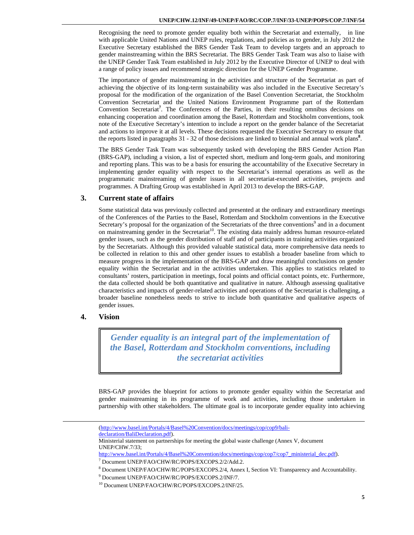Recognising the need to promote gender equality both within the Secretariat and externally, in line with applicable United Nations and UNEP rules, regulations, and policies as to gender, in July 2012 the Executive Secretary established the BRS Gender Task Team to develop targets and an approach to gender mainstreaming within the BRS Secretariat. The BRS Gender Task Team was also to liaise with the UNEP Gender Task Team established in July 2012 by the Executive Director of UNEP to deal with a range of policy issues and recommend strategic direction for the UNEP Gender Programme.

The importance of gender mainstreaming in the activities and structure of the Secretariat as part of achieving the objective of its long-term sustainability was also included in the Executive Secretary's proposal for the modification of the organization of the Basel Convention Secretariat, the Stockholm Convention Secretariat and the United Nations Environment Programme part of the Rotterdam Convention Secretariat**<sup>7</sup>** . The Conferences of the Parties, in their resulting omnibus decisions on enhancing cooperation and coordination among the Basel, Rotterdam and Stockholm conventions, took note of the Executive Secretary's intention to include a report on the gender balance of the Secretariat and actions to improve it at all levels. These decisions requested the Executive Secretary to ensure that the reports listed in paragraphs 31 - 32 of those decisions are linked to biennial and annual work plans**<sup>8</sup>** .

The BRS Gender Task Team was subsequently tasked with developing the BRS Gender Action Plan (BRS-GAP), including a vision, a list of expected short, medium and long-term goals, and monitoring and reporting plans. This was to be a basis for ensuring the accountability of the Executive Secretary in implementing gender equality with respect to the Secretariat's internal operations as well as the programmatic mainstreaming of gender issues in all secretariat-executed activities, projects and programmes. A Drafting Group was established in April 2013 to develop the BRS-GAP.

## **3. Current state of affairs**

Some statistical data was previously collected and presented at the ordinary and extraordinary meetings of the Conferences of the Parties to the Basel, Rotterdam and Stockholm conventions in the Executive Secretary's proposal for the organization of the Secretariats of the three conventions<sup>9</sup> and in a document on mainstreaming gender in the Secretariat<sup>10</sup>. The existing data mainly address human resource-related gender issues, such as the gender distribution of staff and of participants in training activities organized by the Secretariats. Although this provided valuable statistical data, more comprehensive data needs to be collected in relation to this and other gender issues to establish a broader baseline from which to measure progress in the implementation of the BRS-GAP and draw meaningful conclusions on gender equality within the Secretariat and in the activities undertaken. This applies to statistics related to consultants' rosters, participation in meetings, focal points and official contact points, etc. Furthermore, the data collected should be both quantitative and qualitative in nature. Although assessing qualitative characteristics and impacts of gender-related activities and operations of the Secretariat is challenging, a broader baseline nonetheless needs to strive to include both quantitative and qualitative aspects of gender issues.

### **4. Vision**

*Gender equality is an integral part of the implementation of the Basel, Rotterdam and Stockholm conventions, including the secretariat activities* 

BRS-GAP provides the blueprint for actions to promote gender equality within the Secretariat and gender mainstreaming in its programme of work and activities, including those undertaken in partnership with other stakeholders. The ultimate goal is to incorporate gender equality into achieving

 <sup>(</sup>http://www.basel.int/Portals/4/Basel%20Convention/docs/meetings/cop/cop9/bali-

declaration/BaliDeclaration.pdf).

Ministerial statement on partnerships for meeting the global waste challenge (Annex V, document UNEP/CHW.7/33;

http://www.basel.int/Portals/4/Basel%20Convention/docs/meetings/cop/cop7/cop7\_ministerial\_dec.pdf).

Document UNEP/FAO/CHW/RC/POPS/EXCOPS.2/2/Add.2.

<sup>&</sup>lt;sup>8</sup> Document UNEP/FAO/CHW/RC/POPS/EXCOPS.2/4, Annex I, Section VI: Transparency and Accountability.<br><sup>9</sup> Desiment UNEP/FAO/CUW/PC/POPS/EXCOPS 2/INE/7

<sup>&</sup>lt;sup>9</sup> Document UNEP/FAO/CHW/RC/POPS/EXCOPS.2/INF/7.<br><sup>10</sup> Document UNEP/FAO/CHW/RC/POPS/EXCOPS.2/INF/25.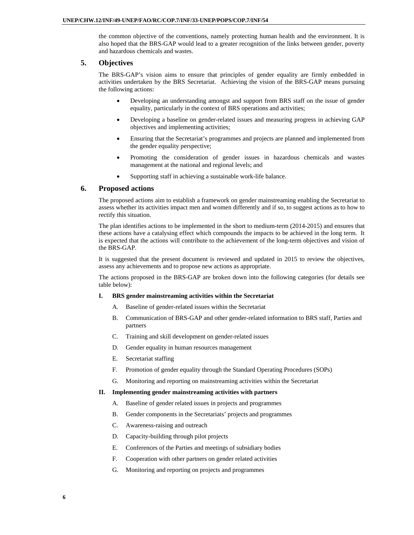the common objective of the conventions, namely protecting human health and the environment. It is also hoped that the BRS-GAP would lead to a greater recognition of the links between gender, poverty and hazardous chemicals and wastes.

#### **5. Objectives**

The BRS-GAP's vision aims to ensure that principles of gender equality are firmly embedded in activities undertaken by the BRS Secretariat. Achieving the vision of the BRS-GAP means pursuing the following actions:

- Developing an understanding amongst and support from BRS staff on the issue of gender equality, particularly in the context of BRS operations and activities;
- Developing a baseline on gender-related issues and measuring progress in achieving GAP objectives and implementing activities;
- Ensuring that the Secretariat's programmes and projects are planned and implemented from the gender equality perspective;
- Promoting the consideration of gender issues in hazardous chemicals and wastes management at the national and regional levels; and
- Supporting staff in achieving a sustainable work-life balance.

### **6. Proposed actions**

The proposed actions aim to establish a framework on gender mainstreaming enabling the Secretariat to assess whether its activities impact men and women differently and if so, to suggest actions as to how to rectify this situation.

The plan identifies actions to be implemented in the short to medium-term (2014-2015) and ensures that these actions have a catalysing effect which compounds the impacts to be achieved in the long term. It is expected that the actions will contribute to the achievement of the long-term objectives and vision of the BRS-GAP.

It is suggested that the present document is reviewed and updated in 2015 to review the objectives, assess any achievements and to propose new actions as appropriate.

The actions proposed in the BRS-GAP are broken down into the following categories (for details see table below):

#### **I. BRS gender mainstreaming activities within the Secretariat**

- A. Baseline of gender-related issues within the Secretariat
- B. Communication of BRS-GAP and other gender-related information to BRS staff, Parties and partners
- C. Training and skill development on gender-related issues
- D. Gender equality in human resources management
- E. Secretariat staffing
- F. Promotion of gender equality through the Standard Operating Procedures (SOPs)
- G. Monitoring and reporting on mainstreaming activities within the Secretariat

#### **II. Implementing gender mainstreaming activities with partners**

- A. Baseline of gender related issues in projects and programmes
- B. Gender components in the Secretariats' projects and programmes
- C. Awareness-raising and outreach
- D. Capacity-building through pilot projects
- E. Conferences of the Parties and meetings of subsidiary bodies
- F. Cooperation with other partners on gender related activities
- G. Monitoring and reporting on projects and programmes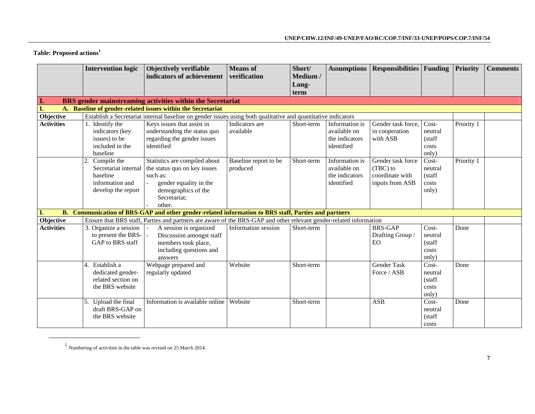## **Table: Proposed actions<sup>1</sup>**

|                   | <b>Intervention logic</b>                                                                      | Objectively verifiable<br>indicators of achievement                                                                                                  | <b>Means</b> of<br>verification   | Short/<br>Medium / | <b>Assumptions</b>                                             | <b>Responsibilities Funding</b>                                     |                                              | <b>Priority</b> | <b>Comments</b> |
|-------------------|------------------------------------------------------------------------------------------------|------------------------------------------------------------------------------------------------------------------------------------------------------|-----------------------------------|--------------------|----------------------------------------------------------------|---------------------------------------------------------------------|----------------------------------------------|-----------------|-----------------|
|                   |                                                                                                |                                                                                                                                                      |                                   | Long-<br>term      |                                                                |                                                                     |                                              |                 |                 |
| L.                |                                                                                                | BRS gender mainstreaming activities within the Secretariat                                                                                           |                                   |                    |                                                                |                                                                     |                                              |                 |                 |
| I.                |                                                                                                | <b>Baseline of gender-related issues within the Secretariat</b>                                                                                      |                                   |                    |                                                                |                                                                     |                                              |                 |                 |
| Objective         |                                                                                                | Establish a Secretariat internal baseline on gender issues using both qualitative and quantitative indicators                                        |                                   |                    |                                                                |                                                                     |                                              |                 |                 |
| <b>Activities</b> | 1. Identify the<br>indicators (key<br>issues) to be<br>included in the<br>baseline             | Keys issues that assist in<br>understanding the status quo<br>regarding the gender issues<br>identified                                              | Indicators are<br>available       | Short-term         | Information is<br>available on<br>the indicators<br>identified | Gender task force,<br>in cooperation<br>with ASB                    | Cost-<br>neutral<br>(staff<br>costs<br>only) | Priority 1      |                 |
|                   | 2.<br>Compile the<br>Secretariat internal<br>baseline<br>information and<br>develop the report | Statistics are compiled about<br>the status quo on key issues<br>such as:<br>gender equality in the<br>demographics of the<br>Secretariat;<br>other. | Baseline report to be<br>produced | Short-term         | Information is<br>available on<br>the indicators<br>identified | Gender task force<br>(TBC) to<br>coordinate with<br>inputs from ASB | Cost-<br>neutral<br>(staff<br>costs<br>only) | Priority 1      |                 |
| <b>B.</b>         |                                                                                                | Communication of BRS-GAP and other gender-related information to BRS staff, Parties and partners                                                     |                                   |                    |                                                                |                                                                     |                                              |                 |                 |
| Objective         |                                                                                                | Ensure that BRS staff, Parties and partners are aware of the BRS-GAP and other relevant gender-related information                                   |                                   |                    |                                                                |                                                                     |                                              |                 |                 |
| <b>Activities</b> | 3. Organize a session<br>to present the BRS-<br>GAP to BRS staff                               | A session is organized<br>Discussion amongst staff<br>members took place,<br>including questions and<br>answers                                      | Information session               | Short-term         |                                                                | <b>BRS-GAP</b><br>Drafting Group /<br>EO.                           | Cost-<br>neutral<br>(staff<br>costs<br>only) | Done            |                 |
|                   | Establish a<br>dedicated gender-<br>related section on<br>the BRS website                      | Webpage prepared and<br>regularly updated                                                                                                            | Website                           | Short-term         |                                                                | <b>Gender Task</b><br>Force / ASB                                   | Cost-<br>neutral<br>(staff<br>costs<br>only) | Done            |                 |
|                   | Upload the final<br>draft BRS-GAP on<br>the BRS website                                        | Information is available online                                                                                                                      | Website                           | Short-term         |                                                                | <b>ASB</b>                                                          | Cost-<br>neutral<br>(staff<br>costs          | Done            |                 |

 $1$  Numbering of activities in the table was revised on 25 March 2014.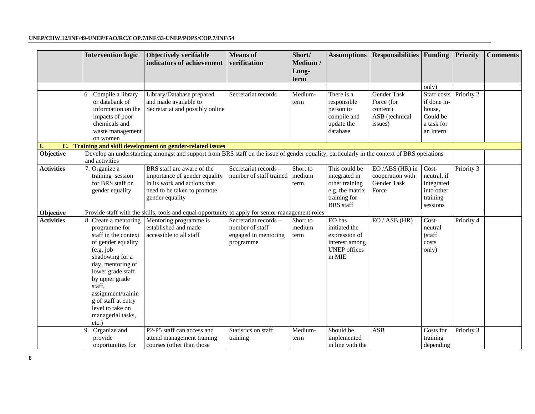|                   | <b>Intervention logic</b>                                                                                                                                                                                                                                                         | Objectively verifiable<br>indicators of achievement                                                                                           | <b>Means</b> of<br>verification                                               | Short/<br>Medium /<br>Long-<br>term | <b>Assumptions</b>                                                                                      | <b>Responsibilities Funding</b>                                           |                                                                             | <b>Priority</b> | <b>Comments</b> |
|-------------------|-----------------------------------------------------------------------------------------------------------------------------------------------------------------------------------------------------------------------------------------------------------------------------------|-----------------------------------------------------------------------------------------------------------------------------------------------|-------------------------------------------------------------------------------|-------------------------------------|---------------------------------------------------------------------------------------------------------|---------------------------------------------------------------------------|-----------------------------------------------------------------------------|-----------------|-----------------|
|                   |                                                                                                                                                                                                                                                                                   |                                                                                                                                               |                                                                               |                                     |                                                                                                         |                                                                           | only)                                                                       |                 |                 |
|                   | 6. Compile a library<br>or databank of<br>information on the<br>impacts of poor<br>chemicals and<br>waste management<br>on women                                                                                                                                                  | Library/Database prepared<br>and made available to<br>Secretariat and possibly online                                                         | Secretariat records                                                           | Medium-<br>term                     | There is a<br>responsible<br>person to<br>compile and<br>update the<br>database                         | <b>Gender Task</b><br>Force (for<br>content)<br>ASB (technical<br>issues) | Staff costs<br>if done in-<br>house,<br>Could be<br>a task for<br>an intern | Priority 2      |                 |
| Ι.                |                                                                                                                                                                                                                                                                                   | C. Training and skill development on gender-related issues                                                                                    |                                                                               |                                     |                                                                                                         |                                                                           |                                                                             |                 |                 |
| Objective         | and activities                                                                                                                                                                                                                                                                    | Develop an understanding amongst and support from BRS staff on the issue of gender equality, particularly in the context of BRS operations    |                                                                               |                                     |                                                                                                         |                                                                           |                                                                             |                 |                 |
| <b>Activities</b> | 7. Organize a<br>training session<br>for BRS staff on<br>gender equality                                                                                                                                                                                                          | BRS staff are aware of the<br>importance of gender equality<br>in its work and actions that<br>need to be taken to promote<br>gender equality | Secretariat records -<br>number of staff trained                              | Short to<br>medium<br>term          | This could be<br>integrated in<br>other training<br>e.g. the matrix<br>training for<br><b>BRS</b> staff | EO/ABS (HR) in<br>cooperation with<br>Gender Task<br>Force                | Cost-<br>neutral, if<br>integrated<br>into other<br>training<br>sessions    | Priority 3      |                 |
| Objective         |                                                                                                                                                                                                                                                                                   | Provide staff with the skills, tools and equal opportunity to apply for senior management roles                                               |                                                                               |                                     |                                                                                                         |                                                                           |                                                                             |                 |                 |
| <b>Activities</b> | 8. Create a mentoring<br>programme for<br>staff in the context<br>of gender equality<br>(e.g. job)<br>shadowing for a<br>day, mentoring of<br>lower grade staff<br>by upper grade<br>staff,<br>assignment/trainin<br>g of staff at entry<br>level to take on<br>managerial tasks, | Mentoring programme is<br>established and made<br>accessible to all staff                                                                     | Secretariat records -<br>number of staff<br>engaged in mentoring<br>programme | Short to<br>medium<br>term          | EO has<br>initiated the<br>expression of<br>interest among<br><b>UNEP</b> offices<br>in MIE             | EO / ASB (HR)                                                             | Cost-<br>neutral<br>(staff<br>costs<br>only)                                | Priority 4      |                 |
|                   | $etc.$ )                                                                                                                                                                                                                                                                          |                                                                                                                                               |                                                                               |                                     |                                                                                                         |                                                                           |                                                                             |                 |                 |
|                   | Organize and<br>provide<br>opportunities for                                                                                                                                                                                                                                      | P2-P5 staff can access and<br>attend management training<br>courses (other than those                                                         | Statistics on staff<br>training                                               | Medium-<br>term                     | Should be<br>implemented<br>in line with the                                                            | <b>ASB</b>                                                                | Costs for<br>training<br>depending                                          | Priority 3      |                 |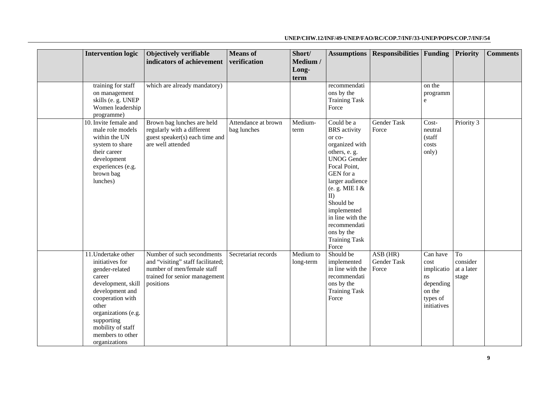| <b>Intervention logic</b>                                                                                                                                                                                                               | Objectively verifiable<br>indicators of achievement                                                                                         | <b>Means</b> of<br>verification    | Short/<br>Medium /<br>Long-<br>term | <b>Assumptions</b>                                                                                                                                                                                                                                                                                 | <b>Responsibilities</b> Funding    |                                                                                        | <b>Priority</b>                       | <b>Comments</b> |
|-----------------------------------------------------------------------------------------------------------------------------------------------------------------------------------------------------------------------------------------|---------------------------------------------------------------------------------------------------------------------------------------------|------------------------------------|-------------------------------------|----------------------------------------------------------------------------------------------------------------------------------------------------------------------------------------------------------------------------------------------------------------------------------------------------|------------------------------------|----------------------------------------------------------------------------------------|---------------------------------------|-----------------|
| training for staff<br>on management<br>skills (e. g. UNEP<br>Women leadership<br>programme)                                                                                                                                             | which are already mandatory)                                                                                                                |                                    |                                     | recommendati<br>ons by the<br><b>Training Task</b><br>Force                                                                                                                                                                                                                                        |                                    | on the<br>programm<br>$\mathbf{e}$                                                     |                                       |                 |
| 10. Invite female and<br>male role models<br>within the UN<br>system to share<br>their career<br>development<br>experiences (e.g.<br>brown bag<br>lunches)                                                                              | Brown bag lunches are held<br>regularly with a different<br>guest speaker(s) each time and<br>are well attended                             | Attendance at brown<br>bag lunches | Medium-<br>term                     | Could be a<br><b>BRS</b> activity<br>or co-<br>organized with<br>others, e. g.<br><b>UNOG</b> Gender<br>Focal Point,<br>GEN for a<br>larger audience<br>(e. g. MIE I $\&$<br>$II$ )<br>Should be<br>implemented<br>in line with the<br>recommendati<br>ons by the<br><b>Training Task</b><br>Force | <b>Gender Task</b><br>Force        | Cost-<br>neutral<br>(staff<br>costs<br>only)                                           | Priority 3                            |                 |
| 11. Undertake other<br>initiatives for<br>gender-related<br>career<br>development, skill<br>development and<br>cooperation with<br>other<br>organizations (e.g.<br>supporting<br>mobility of staff<br>members to other<br>organizations | Number of such secondments<br>and "visiting" staff facilitated;<br>number of men/female staff<br>trained for senior management<br>positions | Secretariat records                | Medium to<br>long-term              | Should be<br>implemented<br>in line with the<br>recommendati<br>ons by the<br><b>Training Task</b><br>Force                                                                                                                                                                                        | $ASB$ (HR)<br>Gender Task<br>Force | Can have<br>cost<br>implicatio<br>ns<br>depending<br>on the<br>types of<br>initiatives | To<br>consider<br>at a later<br>stage |                 |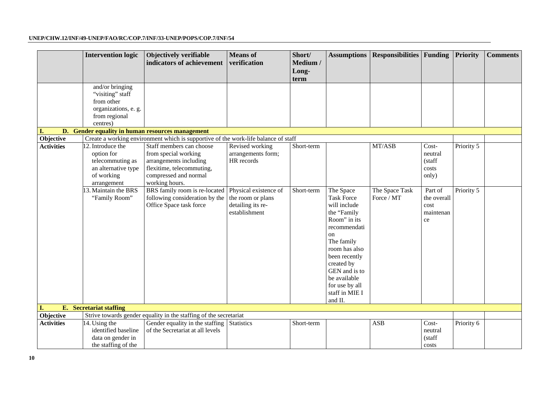|                   | <b>Intervention logic</b>                                                                               | Objectively verifiable<br>indicators of achievement                                                                                                | <b>Means</b> of<br>verification                                                  | Short/<br>Medium /<br>Long-<br>term | <b>Assumptions</b>                                                                                                                                                                                                                                | <b>Responsibilities</b> Funding |                                                                 | <b>Priority</b> | <b>Comments</b> |
|-------------------|---------------------------------------------------------------------------------------------------------|----------------------------------------------------------------------------------------------------------------------------------------------------|----------------------------------------------------------------------------------|-------------------------------------|---------------------------------------------------------------------------------------------------------------------------------------------------------------------------------------------------------------------------------------------------|---------------------------------|-----------------------------------------------------------------|-----------------|-----------------|
|                   | and/or bringing<br>"visiting" staff<br>from other<br>organizations, e. g.<br>from regional<br>centres)  |                                                                                                                                                    |                                                                                  |                                     |                                                                                                                                                                                                                                                   |                                 |                                                                 |                 |                 |
|                   |                                                                                                         | D. Gender equality in human resources management                                                                                                   |                                                                                  |                                     |                                                                                                                                                                                                                                                   |                                 |                                                                 |                 |                 |
| Objective         |                                                                                                         | Create a working environment which is supportive of the work-life balance of staff                                                                 |                                                                                  |                                     |                                                                                                                                                                                                                                                   |                                 |                                                                 |                 |                 |
| <b>Activities</b> | 12. Introduce the<br>option for<br>telecommuting as<br>an alternative type<br>of working<br>arrangement | Staff members can choose<br>from special working<br>arrangements including<br>flexitime, telecommuting,<br>compressed and normal<br>working hours. | Revised working<br>arrangements form;<br>HR records                              | Short-term                          |                                                                                                                                                                                                                                                   | MT/ASB                          | $\overline{\text{Cost}}$<br>neutral<br>(staff<br>costs<br>only) | Priority 5      |                 |
|                   | 3. Maintain the BRS<br>"Family Room"                                                                    | BRS family room is re-located<br>following consideration by the<br>Office Space task force                                                         | Physical existence of<br>the room or plans<br>detailing its re-<br>establishment | Short-term                          | The Space<br><b>Task Force</b><br>will include<br>the "Family<br>Room" in its<br>recommendati<br>on<br>The family<br>room has also<br>been recently<br>created by<br>GEN and is to<br>be available<br>for use by all<br>staff in MIE I<br>and II. | The Space Task<br>Force / MT    | Part of<br>the overall<br>cost<br>maintenan<br>$\rm ce$         | Priority 5      |                 |
|                   | E. Secretariat staffing                                                                                 |                                                                                                                                                    |                                                                                  |                                     |                                                                                                                                                                                                                                                   |                                 |                                                                 |                 |                 |
| Objective         |                                                                                                         | Strive towards gender equality in the staffing of the secretariat                                                                                  |                                                                                  |                                     |                                                                                                                                                                                                                                                   |                                 |                                                                 |                 |                 |
| <b>Activities</b> | 14. Using the<br>identified baseline<br>data on gender in<br>the staffing of the                        | Gender equality in the staffing<br>of the Secretariat at all levels                                                                                | Statistics                                                                       | Short-term                          |                                                                                                                                                                                                                                                   | <b>ASB</b>                      | Cost-<br>neutral<br>(staff<br>costs                             | Priority 6      |                 |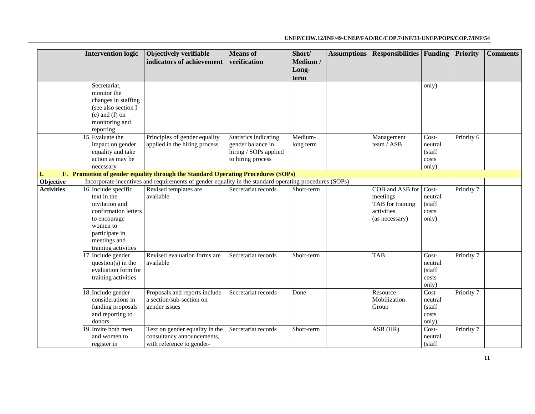|                   | <b>Intervention logic</b>             | Objectively verifiable                                                                                 | <b>Means</b> of              | Short/     | <b>Assumptions</b> | <b>Responsibilities</b>  | Funding        | <b>Priority</b> | <b>Comments</b> |
|-------------------|---------------------------------------|--------------------------------------------------------------------------------------------------------|------------------------------|------------|--------------------|--------------------------|----------------|-----------------|-----------------|
|                   |                                       | indicators of achievement                                                                              | verification                 | Medium /   |                    |                          |                |                 |                 |
|                   |                                       |                                                                                                        |                              | Long-      |                    |                          |                |                 |                 |
|                   |                                       |                                                                                                        |                              | term       |                    |                          |                |                 |                 |
|                   | Secretariat.                          |                                                                                                        |                              |            |                    |                          | only)          |                 |                 |
|                   | monitor the                           |                                                                                                        |                              |            |                    |                          |                |                 |                 |
|                   | changes in staffing                   |                                                                                                        |                              |            |                    |                          |                |                 |                 |
|                   | (see also section I                   |                                                                                                        |                              |            |                    |                          |                |                 |                 |
|                   | $(e)$ and $(f)$ on                    |                                                                                                        |                              |            |                    |                          |                |                 |                 |
|                   | monitoring and                        |                                                                                                        |                              |            |                    |                          |                |                 |                 |
|                   | reporting<br>15. Evaluate the         | Principles of gender equality                                                                          | <b>Statistics indicating</b> | Medium-    |                    |                          | Cost-          | Priority 6      |                 |
|                   |                                       | applied in the hiring process                                                                          | gender balance in            |            |                    | Management<br>team / ASB | neutral        |                 |                 |
|                   | impact on gender<br>equality and take |                                                                                                        | hiring / SOPs applied        | long term  |                    |                          | (staff         |                 |                 |
|                   | action as may be                      |                                                                                                        | to hiring process            |            |                    |                          | costs          |                 |                 |
|                   | necessary                             |                                                                                                        |                              |            |                    |                          | only)          |                 |                 |
| L.                |                                       | F. Promotion of gender equality through the Standard Operating Procedures (SOPs)                       |                              |            |                    |                          |                |                 |                 |
| Objective         |                                       | Incorporate incentives and requirements of gender equality in the standard operating procedures (SOPs) |                              |            |                    |                          |                |                 |                 |
| <b>Activities</b> | 16. Include specific                  | Revised templates are                                                                                  | Secretariat records          | Short-term |                    | COB and ASB for          | Cost-          | Priority 7      |                 |
|                   | text in the                           | available                                                                                              |                              |            |                    | meetings                 | neutral        |                 |                 |
|                   | invitation and                        |                                                                                                        |                              |            |                    | TAB for training         | (staff         |                 |                 |
|                   | confirmation letters                  |                                                                                                        |                              |            |                    | activities               | ${\rm costs}$  |                 |                 |
|                   | to encourage                          |                                                                                                        |                              |            |                    | (as necessary)           | only)          |                 |                 |
|                   | women to                              |                                                                                                        |                              |            |                    |                          |                |                 |                 |
|                   | participate in                        |                                                                                                        |                              |            |                    |                          |                |                 |                 |
|                   | meetings and                          |                                                                                                        |                              |            |                    |                          |                |                 |                 |
|                   | training activities                   |                                                                                                        |                              |            |                    |                          |                |                 |                 |
|                   | 17. Include gender                    | Revised evaluation forms are                                                                           | Secretariat records          | Short-term |                    | <b>TAB</b>               | Cost-          | Priority 7      |                 |
|                   | $question(s)$ in the                  | available                                                                                              |                              |            |                    |                          | neutral        |                 |                 |
|                   | evaluation form for                   |                                                                                                        |                              |            |                    |                          | (staff         |                 |                 |
|                   | training activities                   |                                                                                                        |                              |            |                    |                          | costs          |                 |                 |
|                   |                                       |                                                                                                        |                              |            |                    |                          | only)          |                 |                 |
|                   | 18. Include gender                    | Proposals and reports include                                                                          | Secretariat records          | Done       |                    | Resource                 | Cost-          | Priority 7      |                 |
|                   | considerations in                     | a section/sub-section on                                                                               |                              |            |                    | Mobilization             | neutral        |                 |                 |
|                   | funding proposals                     | gender issues                                                                                          |                              |            |                    | Group                    | (staff         |                 |                 |
|                   | and reporting to<br>donors            |                                                                                                        |                              |            |                    |                          | costs<br>only) |                 |                 |
|                   | 19. Invite both men                   | Text on gender equality in the                                                                         | Secretariat records          | Short-term |                    | ASB (HR)                 | Cost-          | Priority 7      |                 |
|                   | and women to                          | consultancy announcements,                                                                             |                              |            |                    |                          | neutral        |                 |                 |
|                   |                                       |                                                                                                        |                              |            |                    |                          |                |                 |                 |
|                   | register in                           | with reference to gender-                                                                              |                              |            |                    |                          | (staff         |                 |                 |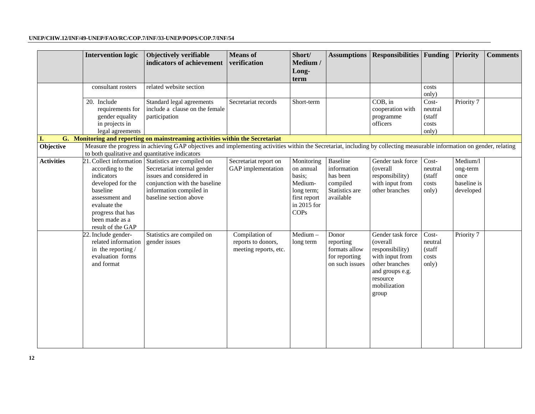|                   | <b>Intervention logic</b>                                                                                                                                     | Objectively verifiable<br>indicators of achievement                                                                                                                                                 | <b>Means</b> of<br>verification                               | Short/<br>Medium /<br>Long-<br>term                                                               | <b>Assumptions</b>                                                             | <b>Responsibilities Funding</b>                                                                                                               |                                              | <b>Priority</b>                                          | <b>Comments</b> |
|-------------------|---------------------------------------------------------------------------------------------------------------------------------------------------------------|-----------------------------------------------------------------------------------------------------------------------------------------------------------------------------------------------------|---------------------------------------------------------------|---------------------------------------------------------------------------------------------------|--------------------------------------------------------------------------------|-----------------------------------------------------------------------------------------------------------------------------------------------|----------------------------------------------|----------------------------------------------------------|-----------------|
|                   | consultant rosters                                                                                                                                            | related website section                                                                                                                                                                             |                                                               |                                                                                                   |                                                                                |                                                                                                                                               | costs<br>only)                               |                                                          |                 |
|                   | 20. Include<br>requirements for<br>gender equality<br>in projects in<br>legal agreements                                                                      | Standard legal agreements<br>include a clause on the female<br>participation                                                                                                                        | Secretariat records                                           | Short-term                                                                                        |                                                                                | $COB$ , in<br>cooperation with<br>programme<br>officers                                                                                       | Cost-<br>neutral<br>(staff<br>costs<br>only) | Priority 7                                               |                 |
|                   |                                                                                                                                                               | G. Monitoring and reporting on mainstreaming activities within the Secretariat                                                                                                                      |                                                               |                                                                                                   |                                                                                |                                                                                                                                               |                                              |                                                          |                 |
| Objective         |                                                                                                                                                               | Measure the progress in achieving GAP objectives and implementing activities within the Secretariat, including by collecting measurable information on gender, relating                             |                                                               |                                                                                                   |                                                                                |                                                                                                                                               |                                              |                                                          |                 |
|                   | to both qualitative and quantitative indicators                                                                                                               |                                                                                                                                                                                                     |                                                               |                                                                                                   |                                                                                |                                                                                                                                               |                                              |                                                          |                 |
| <b>Activities</b> | according to the<br>indicators<br>developed for the<br>baseline<br>assessment and<br>evaluate the<br>progress that has<br>been made as a<br>result of the GAP | 21. Collect information Statistics are compiled on<br>Secretariat internal gender<br>issues and considered in<br>conjunction with the baseline<br>information compiled in<br>baseline section above | Secretariat report on<br>GAP implementation                   | Monitoring<br>on annual<br>basis;<br>Medium-<br>long term;<br>first report<br>in 2015 for<br>COPs | Baseline<br>information<br>has been<br>compiled<br>Statistics are<br>available | Gender task force<br>(overall<br>responsibility)<br>with input from<br>other branches                                                         | Cost-<br>neutral<br>(staff<br>costs<br>only) | Medium/l<br>ong-term<br>once<br>baseline is<br>developed |                 |
|                   | 22. Include gender-<br>related information<br>in the reporting $/$<br>evaluation forms<br>and format                                                          | Statistics are compiled on<br>gender issues                                                                                                                                                         | Compilation of<br>reports to donors,<br>meeting reports, etc. | $Median -$<br>long term                                                                           | Donor<br>reporting<br>formats allow<br>for reporting<br>on such issues         | Gender task force<br>(overall<br>responsibility)<br>with input from<br>other branches<br>and groups e.g.<br>resource<br>mobilization<br>group | Cost-<br>neutral<br>(staff<br>costs<br>only) | Priority 7                                               |                 |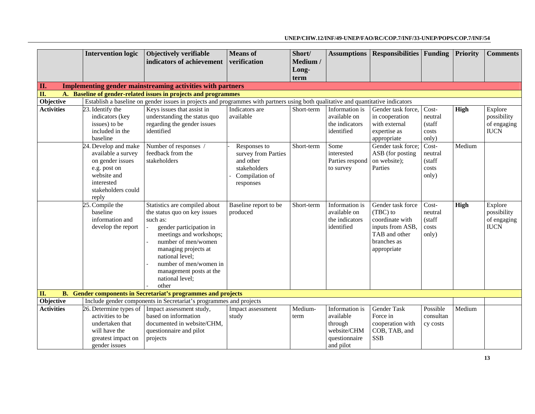|                   | <b>Intervention logic</b>                                                                                                                  | Objectively verifiable<br>indicators of achievement                                                                                                                                                                                                                                | <b>Means</b> of<br>verification                                                                 | Short/<br>Medium / | <b>Assumptions</b>                                                                  | <b>Responsibilities Funding</b>                                                                                     |                                              | <b>Priority</b> | <b>Comments</b>                                      |
|-------------------|--------------------------------------------------------------------------------------------------------------------------------------------|------------------------------------------------------------------------------------------------------------------------------------------------------------------------------------------------------------------------------------------------------------------------------------|-------------------------------------------------------------------------------------------------|--------------------|-------------------------------------------------------------------------------------|---------------------------------------------------------------------------------------------------------------------|----------------------------------------------|-----------------|------------------------------------------------------|
|                   |                                                                                                                                            |                                                                                                                                                                                                                                                                                    |                                                                                                 | Long-              |                                                                                     |                                                                                                                     |                                              |                 |                                                      |
| Π.                |                                                                                                                                            | Implementing gender mainstreaming activities with partners                                                                                                                                                                                                                         |                                                                                                 | term               |                                                                                     |                                                                                                                     |                                              |                 |                                                      |
| II.               |                                                                                                                                            | A. Baseline of gender-related issues in projects and programmes                                                                                                                                                                                                                    |                                                                                                 |                    |                                                                                     |                                                                                                                     |                                              |                 |                                                      |
| Objective         |                                                                                                                                            | Establish a baseline on gender issues in projects and programmes with partners using both qualitative and quantitative indicators                                                                                                                                                  |                                                                                                 |                    |                                                                                     |                                                                                                                     |                                              |                 |                                                      |
| <b>Activities</b> | 23. Identify the<br>indicators (key<br>issues) to be<br>included in the<br>baseline                                                        | Keys issues that assist in<br>understanding the status quo<br>regarding the gender issues<br>identified                                                                                                                                                                            | Indicators are<br>available                                                                     | Short-term         | Information is<br>available on<br>the indicators<br>identified                      | Gender task force,<br>in cooperation<br>with external<br>expertise as<br>appropriate                                | Cost-<br>neutral<br>(staff<br>costs<br>only) | High            | Explore<br>possibility<br>of engaging<br><b>IUCN</b> |
|                   | 24. Develop and make<br>available a survey<br>on gender issues<br>e.g. post on<br>website and<br>interested<br>stakeholders could<br>reply | Number of responses /<br>feedback from the<br>stakeholders                                                                                                                                                                                                                         | Responses to<br>survey from Parties<br>and other<br>stakeholders<br>Compilation of<br>responses | Short-term         | Some<br>interested<br>Parties respond<br>to survey                                  | Gender task force;<br>ASB (for posting<br>on website);<br>Parties                                                   | Cost-<br>neutral<br>(staff<br>costs<br>only) | Medium          |                                                      |
|                   | 25. Compile the<br>baseline<br>information and<br>develop the report                                                                       | Statistics are compiled about<br>the status quo on key issues<br>such as:<br>gender participation in<br>meetings and workshops;<br>number of men/women<br>managing projects at<br>national level;<br>number of men/women in<br>management posts at the<br>national level;<br>other | Baseline report to be<br>produced                                                               | Short-term         | Information is<br>available on<br>the indicators<br>identified                      | Gender task force<br>(TBC) to<br>coordinate with<br>inputs from ASB,<br>TAB and other<br>branches as<br>appropriate | Cost-<br>neutral<br>(staff<br>costs<br>only) | High            | Explore<br>possibility<br>of engaging<br><b>IUCN</b> |
| <b>B.</b><br>П.   |                                                                                                                                            | <b>Gender components in Secretariat's programmes and projects</b>                                                                                                                                                                                                                  |                                                                                                 |                    |                                                                                     |                                                                                                                     |                                              |                 |                                                      |
| Objective         |                                                                                                                                            | Include gender components in Secretariat's programmes and projects                                                                                                                                                                                                                 |                                                                                                 |                    |                                                                                     |                                                                                                                     |                                              |                 |                                                      |
| <b>Activities</b> | 26. Determine types of<br>activities to be<br>undertaken that<br>will have the<br>greatest impact on<br>gender issues                      | Impact assessment study,<br>based on information<br>documented in website/CHM,<br>questionnaire and pilot<br>projects                                                                                                                                                              | Impact assessment<br>study                                                                      | Medium-<br>term    | Information is<br>available<br>through<br>website/CHM<br>questionnaire<br>and pilot | <b>Gender Task</b><br>Force in<br>cooperation with<br>COB, TAB, and<br><b>SSB</b>                                   | Possible<br>consultan<br>cy costs            | Medium          |                                                      |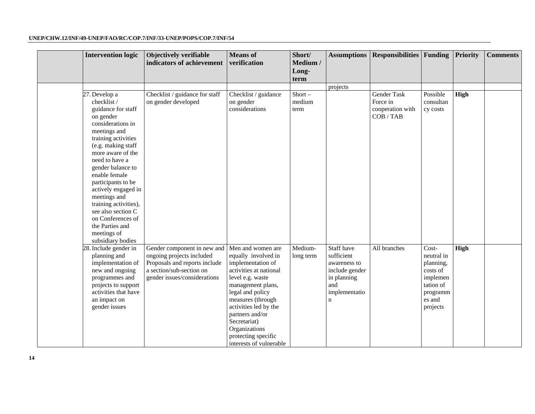| <b>Intervention logic</b>                                                                                                                                                                                                                                                                                                                                                                                              | Objectively verifiable<br>indicators of achievement                                                                                                   | <b>Means</b> of<br>verification                                                                                                                                                                                                                                                                          | Short/<br>Medium /<br>Long-<br>term | <b>Assumptions</b>                                                                                               | <b>Responsibilities</b> Funding                          |                                                                                                         | Priority | <b>Comments</b> |
|------------------------------------------------------------------------------------------------------------------------------------------------------------------------------------------------------------------------------------------------------------------------------------------------------------------------------------------------------------------------------------------------------------------------|-------------------------------------------------------------------------------------------------------------------------------------------------------|----------------------------------------------------------------------------------------------------------------------------------------------------------------------------------------------------------------------------------------------------------------------------------------------------------|-------------------------------------|------------------------------------------------------------------------------------------------------------------|----------------------------------------------------------|---------------------------------------------------------------------------------------------------------|----------|-----------------|
|                                                                                                                                                                                                                                                                                                                                                                                                                        |                                                                                                                                                       |                                                                                                                                                                                                                                                                                                          |                                     | projects                                                                                                         |                                                          |                                                                                                         |          |                 |
| 27. Develop a<br>checklist /<br>guidance for staff<br>on gender<br>considerations in<br>meetings and<br>training activities<br>(e.g. making staff<br>more aware of the<br>need to have a<br>gender balance to<br>enable female<br>participants to be<br>actively engaged in<br>meetings and<br>training activities),<br>see also section C<br>on Conferences of<br>the Parties and<br>meetings of<br>subsidiary bodies | Checklist / guidance for staff<br>on gender developed                                                                                                 | Checklist / guidance<br>on gender<br>considerations                                                                                                                                                                                                                                                      | $Short -$<br>medium<br>term         |                                                                                                                  | Gender Task<br>Force in<br>cooperation with<br>COB / TAB | Possible<br>consultan<br>cy costs                                                                       | High     |                 |
| 28. Include gender in<br>planning and<br>implementation of<br>new and ongoing<br>programmes and<br>projects to support<br>activities that have<br>an impact on<br>gender issues                                                                                                                                                                                                                                        | Gender component in new and<br>ongoing projects included<br>Proposals and reports include<br>a section/sub-section on<br>gender issues/considerations | Men and women are<br>equally involved in<br>implementation of<br>activities at national<br>level e.g. waste<br>management plans,<br>legal and policy<br>measures (through<br>activities led by the<br>partners and/or<br>Secretariat)<br>Organizations<br>protecting specific<br>interests of vulnerable | Medium-<br>long term                | Staff have<br>sufficient<br>awareness to<br>include gender<br>in planning<br>and<br>implementatio<br>$\mathbf n$ | All branches                                             | Cost-<br>neutral in<br>planning,<br>costs of<br>implemen<br>tation of<br>programm<br>es and<br>projects | High     |                 |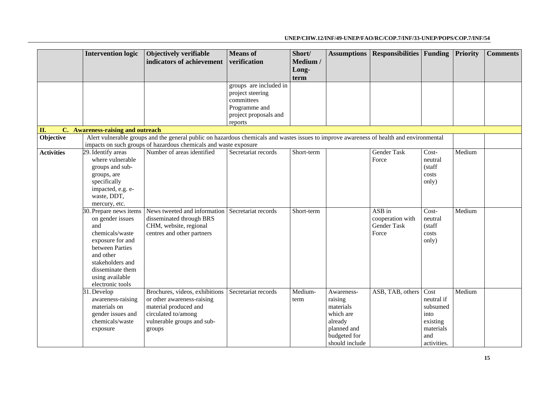|                   | <b>Intervention logic</b>         | Objectively verifiable                                                                                                                   | <b>Means</b> of                  | Short/     | <b>Assumptions</b> | <b>Responsibilities</b> Funding |                 | Priority | <b>Comments</b> |
|-------------------|-----------------------------------|------------------------------------------------------------------------------------------------------------------------------------------|----------------------------------|------------|--------------------|---------------------------------|-----------------|----------|-----------------|
|                   |                                   | indicators of achievement                                                                                                                | verification                     | Medium /   |                    |                                 |                 |          |                 |
|                   |                                   |                                                                                                                                          |                                  | Long-      |                    |                                 |                 |          |                 |
|                   |                                   |                                                                                                                                          |                                  | term       |                    |                                 |                 |          |                 |
|                   |                                   |                                                                                                                                          | groups are included in           |            |                    |                                 |                 |          |                 |
|                   |                                   |                                                                                                                                          | project steering                 |            |                    |                                 |                 |          |                 |
|                   |                                   |                                                                                                                                          | committees                       |            |                    |                                 |                 |          |                 |
|                   |                                   |                                                                                                                                          | Programme and                    |            |                    |                                 |                 |          |                 |
|                   |                                   |                                                                                                                                          | project proposals and<br>reports |            |                    |                                 |                 |          |                 |
| II.               | C. Awareness-raising and outreach |                                                                                                                                          |                                  |            |                    |                                 |                 |          |                 |
| Objective         |                                   | Alert vulnerable groups and the general public on hazardous chemicals and wastes issues to improve awareness of health and environmental |                                  |            |                    |                                 |                 |          |                 |
|                   |                                   | impacts on such groups of hazardous chemicals and waste exposure                                                                         |                                  |            |                    |                                 |                 |          |                 |
| <b>Activities</b> | 29. Identify areas                | Number of areas identified                                                                                                               | Secretariat records              | Short-term |                    | <b>Gender Task</b>              | Cost-           | Medium   |                 |
|                   | where vulnerable                  |                                                                                                                                          |                                  |            |                    | Force                           | neutral         |          |                 |
|                   | groups and sub-                   |                                                                                                                                          |                                  |            |                    |                                 | (staff          |          |                 |
|                   | groups, are                       |                                                                                                                                          |                                  |            |                    |                                 | costs           |          |                 |
|                   | specifically                      |                                                                                                                                          |                                  |            |                    |                                 | only)           |          |                 |
|                   | impacted, e.g. e-                 |                                                                                                                                          |                                  |            |                    |                                 |                 |          |                 |
|                   | waste, DDT,                       |                                                                                                                                          |                                  |            |                    |                                 |                 |          |                 |
|                   | mercury, etc.                     |                                                                                                                                          |                                  |            |                    |                                 |                 |          |                 |
|                   | 30. Prepare news items            | News tweeted and information Secretariat records                                                                                         |                                  | Short-term |                    | ASB in                          | Cost-           | Medium   |                 |
|                   | on gender issues<br>and           | disseminated through BRS                                                                                                                 |                                  |            |                    | cooperation with<br>Gender Task | neutral         |          |                 |
|                   | chemicals/waste                   | CHM, website, regional                                                                                                                   |                                  |            |                    | Force                           | (staff<br>costs |          |                 |
|                   | exposure for and                  | centres and other partners                                                                                                               |                                  |            |                    |                                 |                 |          |                 |
|                   | between Parties                   |                                                                                                                                          |                                  |            |                    |                                 | only)           |          |                 |
|                   | and other                         |                                                                                                                                          |                                  |            |                    |                                 |                 |          |                 |
|                   | stakeholders and                  |                                                                                                                                          |                                  |            |                    |                                 |                 |          |                 |
|                   | disseminate them                  |                                                                                                                                          |                                  |            |                    |                                 |                 |          |                 |
|                   | using available                   |                                                                                                                                          |                                  |            |                    |                                 |                 |          |                 |
|                   | electronic tools                  |                                                                                                                                          |                                  |            |                    |                                 |                 |          |                 |
|                   | 31. Develop                       | Brochures, videos, exhibitions                                                                                                           | Secretariat records              | Medium-    | Awareness-         | ASB, TAB, others                | Cost            | Medium   |                 |
|                   | awareness-raising                 | or other awareness-raising                                                                                                               |                                  | term       | raising            |                                 | neutral if      |          |                 |
|                   | materials on                      | material produced and                                                                                                                    |                                  |            | materials          |                                 | subsumed        |          |                 |
|                   | gender issues and                 | circulated to/among                                                                                                                      |                                  |            | which are          |                                 | into            |          |                 |
|                   | chemicals/waste                   | vulnerable groups and sub-                                                                                                               |                                  |            | already            |                                 | existing        |          |                 |
|                   | exposure                          | groups                                                                                                                                   |                                  |            | planned and        |                                 | materials       |          |                 |
|                   |                                   |                                                                                                                                          |                                  |            | budgeted for       |                                 | and             |          |                 |
|                   |                                   |                                                                                                                                          |                                  |            | should include     |                                 | activities.     |          |                 |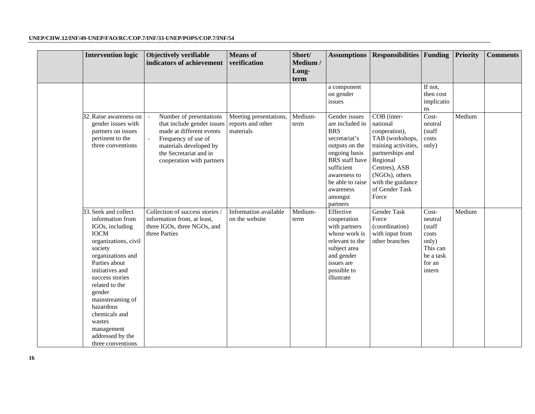| <b>Intervention logic</b>                                                                                                                                                                                                                                                                                                                | Objectively verifiable<br>indicators of achievement                                                                                                                                       | <b>Means</b> of<br>verification                          | Short/<br>Medium /<br>Long-<br>term | <b>Assumptions</b>                                                                                                                                                                                                | <b>Responsibilities</b> Funding                                                                                                                                                                        |                                                                                           | <b>Priority</b> | <b>Comments</b> |
|------------------------------------------------------------------------------------------------------------------------------------------------------------------------------------------------------------------------------------------------------------------------------------------------------------------------------------------|-------------------------------------------------------------------------------------------------------------------------------------------------------------------------------------------|----------------------------------------------------------|-------------------------------------|-------------------------------------------------------------------------------------------------------------------------------------------------------------------------------------------------------------------|--------------------------------------------------------------------------------------------------------------------------------------------------------------------------------------------------------|-------------------------------------------------------------------------------------------|-----------------|-----------------|
|                                                                                                                                                                                                                                                                                                                                          |                                                                                                                                                                                           |                                                          |                                     | a component<br>on gender<br>issues                                                                                                                                                                                |                                                                                                                                                                                                        | If not,<br>then cost<br>implicatio<br>ns                                                  |                 |                 |
| 32. Raise awareness on<br>gender issues with<br>partners on issues<br>pertinent to the<br>three conventions                                                                                                                                                                                                                              | Number of presentations<br>that include gender issues<br>made at different events<br>Frequency of use of<br>materials developed by<br>the Secretariat and in<br>cooperation with partners | Meeting presentations,<br>reports and other<br>materials | Medium-<br>term                     | Gender issues<br>are included in<br><b>BRS</b><br>secretariat's<br>outputs on the<br>ongoing basis<br><b>BRS</b> staff have<br>sufficient<br>awareness to<br>be able to raise<br>awareness<br>amongst<br>partners | COB (inter-<br>national<br>cooperation),<br>TAB (workshops,<br>training activities,<br>partnerships and<br>Regional<br>Centres), ASB<br>(NGOs), others<br>with the guidance<br>of Gender Task<br>Force | Cost-<br>neutral<br>(staff<br>costs<br>only)                                              | Medium          |                 |
| 33. Seek and collect<br>information from<br>IGOs, including<br><b>IOCM</b><br>organizations, civil<br>society<br>organizations and<br>Parties about<br>initiatives and<br>success stories<br>related to the<br>gender<br>mainstreaming of<br>hazardous<br>chemicals and<br>wastes<br>management<br>addressed by the<br>three conventions | Collection of success stories /<br>information from, at least,<br>three IGOs, three NGOs, and<br>three Parties                                                                            | Information available<br>on the website                  | Medium-<br>term                     | Effective<br>cooperation<br>with partners<br>whose work is<br>relevant to the<br>subject area<br>and gender<br>issues are<br>possible to<br>illustrate                                                            | Gender Task<br>Force<br>(coordination)<br>with input from<br>other branches                                                                                                                            | Cost-<br>neutral<br>(staff<br>costs<br>only)<br>This can<br>be a task<br>for an<br>intern | Medium          |                 |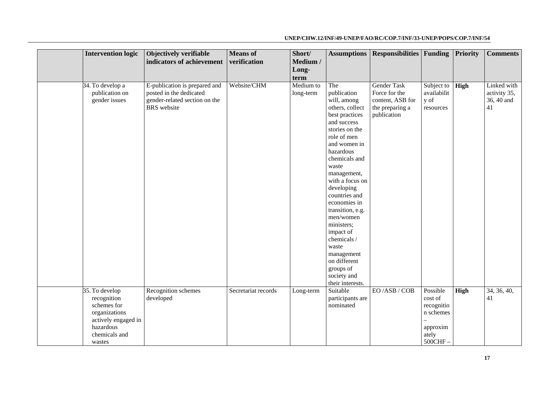#### **Intervention logic Objectively verifiable indicators of achievement Means of verification Short/ Medium / Longterm Assumptions Responsibilities Funding Priority Comments**  34. To develop a publication on gender issues E-publication is prepared and posted in the dedicated gender-related section on the BRS website Website/CHM Medium to long-term The publication will, among others, collect best practices and success stories on the role of men and women in hazardous chemicals and waste management, with a focus on developing countries and economies in transition, e.g. men/women ministers; impact of chemicals / waste management on different groups of society and their interests. Gender Task Force for the content, ASB for the preparing a publication Subject to availabilit y of resources **High** Linked with activity 35, 36, 40 and 41 35. To develop recognition schemes for organizations actively engaged in hazardous chemicals and wastes Recognition schemes developed Secretariat records Long-term Suitable participants are nominated EO /ASB / COB Possible cost of recognitio n schemes – approxim ately 500CHF – High 34, 36, 40, 41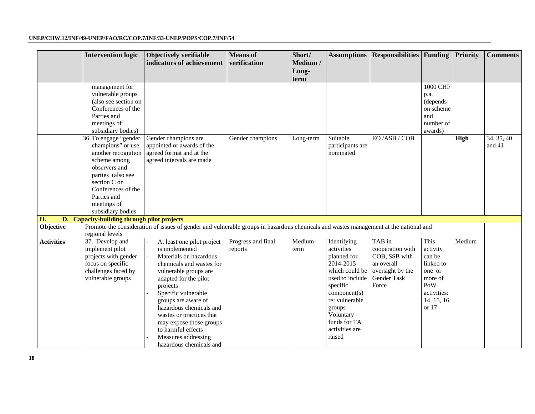|                   | <b>Intervention logic</b>                   | Objectively verifiable                                                                                                               | <b>Means</b> of    | Short/    |                          | <b>Assumptions   Responsibilities   Funding</b> |                     | <b>Priority</b> | <b>Comments</b> |
|-------------------|---------------------------------------------|--------------------------------------------------------------------------------------------------------------------------------------|--------------------|-----------|--------------------------|-------------------------------------------------|---------------------|-----------------|-----------------|
|                   |                                             | indicators of achievement                                                                                                            | verification       | Medium /  |                          |                                                 |                     |                 |                 |
|                   |                                             |                                                                                                                                      |                    | Long-     |                          |                                                 |                     |                 |                 |
|                   |                                             |                                                                                                                                      |                    | term      |                          |                                                 |                     |                 |                 |
|                   | management for                              |                                                                                                                                      |                    |           |                          |                                                 | <b>1000 CHF</b>     |                 |                 |
|                   | vulnerable groups                           |                                                                                                                                      |                    |           |                          |                                                 | p.a.                |                 |                 |
|                   | (also see section on                        |                                                                                                                                      |                    |           |                          |                                                 | (depends)           |                 |                 |
|                   | Conferences of the                          |                                                                                                                                      |                    |           |                          |                                                 | on scheme           |                 |                 |
|                   | Parties and                                 |                                                                                                                                      |                    |           |                          |                                                 | and                 |                 |                 |
|                   | meetings of                                 |                                                                                                                                      |                    |           |                          |                                                 | number of           |                 |                 |
|                   | subsidiary bodies)<br>36. To engage "gender | Gender champions are                                                                                                                 | Gender champions   |           | Suitable                 | EO/ASB/COB                                      | awards)             | High            | 34, 35, 40      |
|                   | champions" or use                           | appointed or awards of the                                                                                                           |                    | Long-term | participants are         |                                                 |                     |                 | and 41          |
|                   | another recognition                         | agreed format and at the                                                                                                             |                    |           | nominated                |                                                 |                     |                 |                 |
|                   | scheme among                                | agreed intervals are made                                                                                                            |                    |           |                          |                                                 |                     |                 |                 |
|                   | observers and                               |                                                                                                                                      |                    |           |                          |                                                 |                     |                 |                 |
|                   | parties (also see                           |                                                                                                                                      |                    |           |                          |                                                 |                     |                 |                 |
|                   | section C on                                |                                                                                                                                      |                    |           |                          |                                                 |                     |                 |                 |
|                   | Conferences of the                          |                                                                                                                                      |                    |           |                          |                                                 |                     |                 |                 |
|                   | Parties and                                 |                                                                                                                                      |                    |           |                          |                                                 |                     |                 |                 |
|                   | meetings of                                 |                                                                                                                                      |                    |           |                          |                                                 |                     |                 |                 |
|                   | subsidiary bodies                           |                                                                                                                                      |                    |           |                          |                                                 |                     |                 |                 |
| II.               | D. Capacity-building through pilot projects |                                                                                                                                      |                    |           |                          |                                                 |                     |                 |                 |
| Objective         |                                             | Promote the consideration of issues of gender and vulnerable groups in hazardous chemicals and wastes management at the national and |                    |           |                          |                                                 |                     |                 |                 |
|                   | regional levels                             |                                                                                                                                      |                    |           |                          |                                                 |                     |                 |                 |
| <b>Activities</b> | 37. Develop and                             | At least one pilot project                                                                                                           | Progress and final | Medium-   | Identifying              | TAB in                                          | This                | Medium          |                 |
|                   | implement pilot                             | is implemented                                                                                                                       | reports            | term      | activities               | cooperation with                                | activity            |                 |                 |
|                   | projects with gender                        | Materials on hazardous                                                                                                               |                    |           | planned for              | COB, SSB with                                   | can be              |                 |                 |
|                   | focus on specific                           | chemicals and wastes for                                                                                                             |                    |           | 2014-2015                | an overall                                      | linked to           |                 |                 |
|                   | challenges faced by                         | vulnerable groups are                                                                                                                |                    |           | which could be           | oversight by the                                | one or              |                 |                 |
|                   | vulnerable groups                           | adapted for the pilot                                                                                                                |                    |           | used to include          | Gender Task                                     | more of             |                 |                 |
|                   |                                             | projects                                                                                                                             |                    |           | specific                 | Force                                           | PoW                 |                 |                 |
|                   |                                             | Specific vulnerable                                                                                                                  |                    |           | component(s)             |                                                 | activities:         |                 |                 |
|                   |                                             | groups are aware of<br>hazardous chemicals and                                                                                       |                    |           | re: vulnerable<br>groups |                                                 | 14, 15, 16<br>or 17 |                 |                 |
|                   |                                             | wastes or practices that                                                                                                             |                    |           | Voluntary                |                                                 |                     |                 |                 |
|                   |                                             | may expose those groups                                                                                                              |                    |           | funds for TA             |                                                 |                     |                 |                 |
|                   |                                             | to harmful effects                                                                                                                   |                    |           | activities are           |                                                 |                     |                 |                 |
|                   |                                             | Measures addressing                                                                                                                  |                    |           | raised                   |                                                 |                     |                 |                 |
|                   |                                             | hazardous chemicals and                                                                                                              |                    |           |                          |                                                 |                     |                 |                 |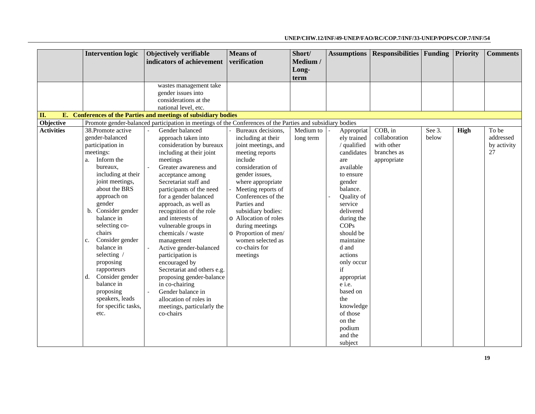|                   | <b>Intervention logic</b> | Objectively verifiable                                                                                    | <b>Means</b> of       | Short/    | <b>Assumptions</b> | <b>Responsibilities Funding</b> |        | <b>Priority</b> | <b>Comments</b> |
|-------------------|---------------------------|-----------------------------------------------------------------------------------------------------------|-----------------------|-----------|--------------------|---------------------------------|--------|-----------------|-----------------|
|                   |                           | indicators of achievement                                                                                 | verification          | Medium /  |                    |                                 |        |                 |                 |
|                   |                           |                                                                                                           |                       | Long-     |                    |                                 |        |                 |                 |
|                   |                           |                                                                                                           |                       | term      |                    |                                 |        |                 |                 |
|                   |                           | wastes management take                                                                                    |                       |           |                    |                                 |        |                 |                 |
|                   |                           | gender issues into                                                                                        |                       |           |                    |                                 |        |                 |                 |
|                   |                           | considerations at the                                                                                     |                       |           |                    |                                 |        |                 |                 |
|                   |                           | national level, etc.                                                                                      |                       |           |                    |                                 |        |                 |                 |
| II.               |                           | E. Conferences of the Parties and meetings of subsidiary bodies                                           |                       |           |                    |                                 |        |                 |                 |
| Objective         |                           | Promote gender-balanced participation in meetings of the Conferences of the Parties and subsidiary bodies |                       |           |                    |                                 |        |                 |                 |
| <b>Activities</b> | 38. Promote active        | Gender balanced                                                                                           | Bureaux decisions,    | Medium to | Appropriat         | $COB$ , in                      | See 3. | High            | To be           |
|                   | gender-balanced           | approach taken into                                                                                       | including at their    | long term | ely trained        | collaboration                   | below  |                 | addressed       |
|                   | participation in          | consideration by bureaux                                                                                  | joint meetings, and   |           | / qualified        | with other                      |        |                 | by activity     |
|                   | meetings:                 | including at their joint                                                                                  | meeting reports       |           | candidates         | branches as                     |        |                 | 27              |
|                   | Inform the<br>a.          | meetings                                                                                                  | include               |           | are                | appropriate                     |        |                 |                 |
|                   | bureaux,                  | Greater awareness and<br>$\omega$                                                                         | consideration of      |           | available          |                                 |        |                 |                 |
|                   | including at their        | acceptance among                                                                                          | gender issues,        |           | to ensure          |                                 |        |                 |                 |
|                   | joint meetings,           | Secretariat staff and                                                                                     | where appropriate     |           | gender             |                                 |        |                 |                 |
|                   | about the BRS             | participants of the need                                                                                  | Meeting reports of    |           | balance.           |                                 |        |                 |                 |
|                   | approach on               | for a gender balanced                                                                                     | Conferences of the    |           | Quality of         |                                 |        |                 |                 |
|                   | gender                    | approach, as well as                                                                                      | Parties and           |           | service            |                                 |        |                 |                 |
|                   | b. Consider gender        | recognition of the role                                                                                   | subsidiary bodies:    |           | delivered          |                                 |        |                 |                 |
|                   | balance in                | and interests of                                                                                          | o Allocation of roles |           | during the         |                                 |        |                 |                 |
|                   | selecting co-             | vulnerable groups in                                                                                      | during meetings       |           | <b>COPs</b>        |                                 |        |                 |                 |
|                   | chairs                    | chemicals / waste                                                                                         | o Proportion of men/  |           | should be          |                                 |        |                 |                 |
|                   | Consider gender<br>c.     | management                                                                                                | women selected as     |           | maintaine          |                                 |        |                 |                 |
|                   | balance in                | Active gender-balanced                                                                                    | co-chairs for         |           | d and              |                                 |        |                 |                 |
|                   | selecting /               | participation is                                                                                          | meetings              |           | actions            |                                 |        |                 |                 |
|                   | proposing                 | encouraged by                                                                                             |                       |           | only occur         |                                 |        |                 |                 |
|                   | rapporteurs               | Secretariat and others e.g.                                                                               |                       |           | if                 |                                 |        |                 |                 |
|                   | Consider gender<br>d.     | proposing gender-balance                                                                                  |                       |           | appropriat         |                                 |        |                 |                 |
|                   | balance in                | in co-chairing                                                                                            |                       |           | e i.e.             |                                 |        |                 |                 |
|                   | proposing                 | Gender balance in<br>$\omega$                                                                             |                       |           | based on           |                                 |        |                 |                 |
|                   | speakers, leads           | allocation of roles in                                                                                    |                       |           | the                |                                 |        |                 |                 |
|                   | for specific tasks,       | meetings, particularly the                                                                                |                       |           | knowledge          |                                 |        |                 |                 |
|                   | etc.                      | co-chairs                                                                                                 |                       |           | of those           |                                 |        |                 |                 |
|                   |                           |                                                                                                           |                       |           | on the             |                                 |        |                 |                 |
|                   |                           |                                                                                                           |                       |           | podium             |                                 |        |                 |                 |
|                   |                           |                                                                                                           |                       |           | and the            |                                 |        |                 |                 |
|                   |                           |                                                                                                           |                       |           | subject            |                                 |        |                 |                 |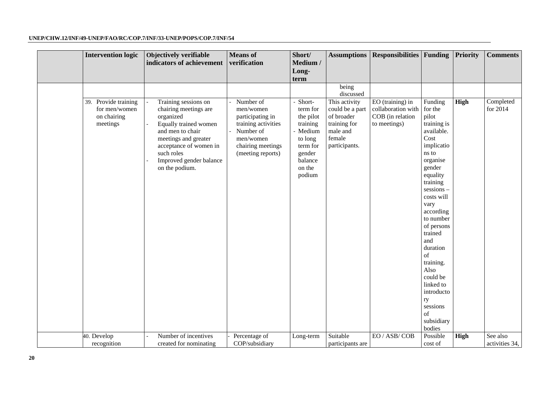| <b>Intervention logic</b>                                        | Objectively verifiable<br>indicators of achievement                                                                                                                                                                  | <b>Means</b> of<br>verification                                                                                                       | Short/<br>Medium /<br>Long-                                                                                             | <b>Assumptions</b>                                                                                    | <b>Responsibilities Funding</b>                                            |                                                                                                                                                                                                                                                                                                                                                                  | Priority | <b>Comments</b>       |
|------------------------------------------------------------------|----------------------------------------------------------------------------------------------------------------------------------------------------------------------------------------------------------------------|---------------------------------------------------------------------------------------------------------------------------------------|-------------------------------------------------------------------------------------------------------------------------|-------------------------------------------------------------------------------------------------------|----------------------------------------------------------------------------|------------------------------------------------------------------------------------------------------------------------------------------------------------------------------------------------------------------------------------------------------------------------------------------------------------------------------------------------------------------|----------|-----------------------|
|                                                                  |                                                                                                                                                                                                                      |                                                                                                                                       | term                                                                                                                    |                                                                                                       |                                                                            |                                                                                                                                                                                                                                                                                                                                                                  |          |                       |
|                                                                  |                                                                                                                                                                                                                      |                                                                                                                                       |                                                                                                                         | being<br>discussed                                                                                    |                                                                            |                                                                                                                                                                                                                                                                                                                                                                  |          |                       |
| 39. Provide training<br>for men/women<br>on chairing<br>meetings | Training sessions on<br>chairing meetings are<br>organized<br>Equally trained women<br>and men to chair<br>meetings and greater<br>acceptance of women in<br>such roles<br>Improved gender balance<br>on the podium. | Number of<br>men/women<br>participating in<br>training activities<br>Number of<br>men/women<br>chairing meetings<br>(meeting reports) | Short-<br>term for<br>the pilot<br>training<br>- Medium<br>to long<br>term for<br>gender<br>balance<br>on the<br>podium | This activity<br>could be a part<br>of broader<br>training for<br>male and<br>female<br>participants. | EO (training) in<br>collaboration with<br>COB (in relation<br>to meetings) | Funding<br>for the<br>pilot<br>training is<br>available.<br>Cost<br>implicatio<br>ns to<br>organise<br>gender<br>equality<br>training<br>sessions-<br>costs will<br>vary<br>according<br>to number<br>of persons<br>trained<br>and<br>duration<br>of<br>training.<br>Also<br>could be<br>linked to<br>introducto<br>ry<br>sessions<br>of<br>subsidiary<br>bodies | High     | Completed<br>for 2014 |
| 40. Develop                                                      | Number of incentives                                                                                                                                                                                                 | Percentage of                                                                                                                         | Long-term                                                                                                               | Suitable                                                                                              | EO / ASB/COB                                                               | Possible                                                                                                                                                                                                                                                                                                                                                         | High     | See also              |
| recognition                                                      | created for nominating                                                                                                                                                                                               | COP/subsidiary                                                                                                                        |                                                                                                                         | participants are                                                                                      |                                                                            | cost of                                                                                                                                                                                                                                                                                                                                                          |          | activities 34,        |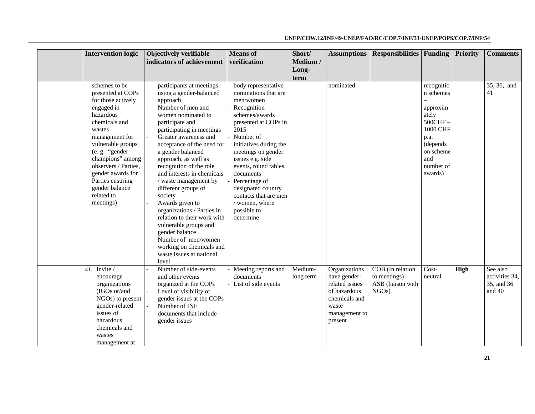| <b>Intervention logic</b>                                                                                                                                                                                                                                                                                 | Objectively verifiable<br>indicators of achievement                                                                                                                                                                                                                                                                                                                                                                                                                                                                                                                                                   | <b>Means</b> of<br>verification                                                                                                                                                                                                                                                                                                                                | Short/<br>Medium /   | <b>Assumptions</b>                                                                                                    | <b>Responsibilities</b> Funding                                |                                                                                                                                      | Priority | <b>Comments</b>                                    |
|-----------------------------------------------------------------------------------------------------------------------------------------------------------------------------------------------------------------------------------------------------------------------------------------------------------|-------------------------------------------------------------------------------------------------------------------------------------------------------------------------------------------------------------------------------------------------------------------------------------------------------------------------------------------------------------------------------------------------------------------------------------------------------------------------------------------------------------------------------------------------------------------------------------------------------|----------------------------------------------------------------------------------------------------------------------------------------------------------------------------------------------------------------------------------------------------------------------------------------------------------------------------------------------------------------|----------------------|-----------------------------------------------------------------------------------------------------------------------|----------------------------------------------------------------|--------------------------------------------------------------------------------------------------------------------------------------|----------|----------------------------------------------------|
|                                                                                                                                                                                                                                                                                                           |                                                                                                                                                                                                                                                                                                                                                                                                                                                                                                                                                                                                       |                                                                                                                                                                                                                                                                                                                                                                | Long-<br>term        |                                                                                                                       |                                                                |                                                                                                                                      |          |                                                    |
| schemes to be<br>presented at COPs<br>for those actively<br>engaged in<br>hazardous<br>chemicals and<br>wastes<br>management for<br>vulnerable groups<br>(e. g. "gender<br>champions" among<br>observers / Parties.<br>gender awards for<br>Parties ensuring<br>gender balance<br>related to<br>meetings) | participants at meetings<br>using a gender-balanced<br>approach<br>Number of men and<br>women nominated to<br>participate and<br>participating in meetings<br>Greater awareness and<br>acceptance of the need for<br>a gender balanced<br>approach, as well as<br>recognition of the role<br>and interests in chemicals<br>/ waste management by<br>different groups of<br>society<br>Awards given to<br>organizations / Parties in<br>relation to their work with<br>vulnerable groups and<br>gender balance<br>Number of men/women<br>working on chemicals and<br>waste issues at national<br>level | body representative<br>nominations that are<br>men/women<br>Recognition<br>schemes/awards<br>presented at COPs in<br>2015<br>Number of<br>initiatives during the<br>meetings on gender<br>issues e.g. side<br>events, round tables,<br>documents<br>Percentage of<br>designated country<br>contacts that are men<br>/ women, where<br>possible to<br>determine |                      | nominated                                                                                                             |                                                                | recognitio<br>n schemes<br>approxim<br>ately<br>500CHF-<br>1000 CHF<br>p.a.<br>(depends)<br>on scheme<br>and<br>number of<br>awards) |          | 35, 36, and<br>41                                  |
| 41. Invite /<br>encourage<br>organizations<br>(IGOs or/and<br>$NGOs$ ) to present<br>gender-related<br>issues of<br>hazardous<br>chemicals and<br>wastes<br>management at                                                                                                                                 | Number of side-events<br>and other events<br>organized at the COPs<br>Level of visibility of<br>gender issues at the COPs<br>Number of INF<br>documents that include<br>gender issues                                                                                                                                                                                                                                                                                                                                                                                                                 | Meeting reports and<br>documents<br>List of side events                                                                                                                                                                                                                                                                                                        | Medium-<br>long term | Organizations<br>have gender-<br>related issues<br>of hazardous<br>chemicals and<br>waste<br>management to<br>present | COB (In relation<br>to meetings)<br>ASB (liaison with<br>NGOs) | Cost-<br>neutral                                                                                                                     | High     | See also<br>activities 34,<br>35, and 36<br>and 40 |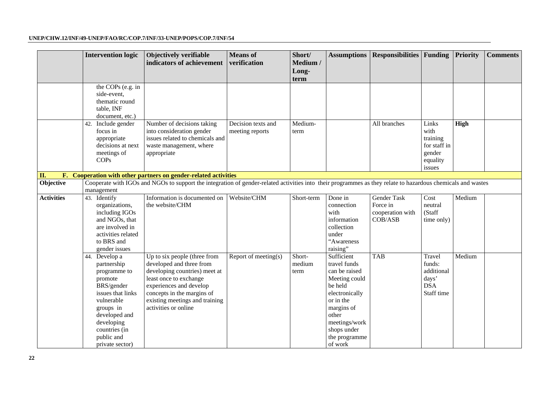|                       | <b>Intervention logic</b>                                                                                                                                                                              | Objectively verifiable<br>indicators of achievement                                                                                                                                                                                    | <b>Means</b> of<br>verification       | Short/<br>Medium /<br>Long-<br>term | <b>Assumptions</b>                                                                                                                                                                        | <b>Responsibilities Funding</b>                        |                                                                           | <b>Priority</b> | <b>Comments</b> |
|-----------------------|--------------------------------------------------------------------------------------------------------------------------------------------------------------------------------------------------------|----------------------------------------------------------------------------------------------------------------------------------------------------------------------------------------------------------------------------------------|---------------------------------------|-------------------------------------|-------------------------------------------------------------------------------------------------------------------------------------------------------------------------------------------|--------------------------------------------------------|---------------------------------------------------------------------------|-----------------|-----------------|
|                       | the COPs (e.g. in<br>side-event,<br>thematic round<br>table, INF<br>document, etc.)                                                                                                                    |                                                                                                                                                                                                                                        |                                       |                                     |                                                                                                                                                                                           |                                                        |                                                                           |                 |                 |
|                       | 42. Include gender<br>focus in<br>appropriate<br>decisions at next<br>meetings of<br>COPs                                                                                                              | Number of decisions taking<br>into consideration gender<br>issues related to chemicals and<br>waste management, where<br>appropriate                                                                                                   | Decision texts and<br>meeting reports | Medium-<br>term                     |                                                                                                                                                                                           | All branches                                           | Links<br>with<br>training<br>for staff in<br>gender<br>equality<br>issues | <b>High</b>     |                 |
| II.<br>$\mathbf{F}$ . |                                                                                                                                                                                                        | Cooperation with other partners on gender-related activities                                                                                                                                                                           |                                       |                                     |                                                                                                                                                                                           |                                                        |                                                                           |                 |                 |
| Objective             | management                                                                                                                                                                                             | Cooperate with IGOs and NGOs to support the integration of gender-related activities into their programmes as they relate to hazardous chemicals and wastes                                                                            |                                       |                                     |                                                                                                                                                                                           |                                                        |                                                                           |                 |                 |
| <b>Activities</b>     | 43. Identify<br>organizations,<br>including IGOs<br>and NGOs, that<br>are involved in<br>activities related<br>to BRS and<br>gender issues                                                             | Information is documented on<br>the website/CHM                                                                                                                                                                                        | Website/CHM                           | Short-term                          | Done in<br>connection<br>with<br>information<br>collection<br>under<br>"Awareness<br>raising"                                                                                             | Gender Task<br>Force in<br>cooperation with<br>COB/ASB | Cost<br>neutral<br>(Staff<br>time only)                                   | Medium          |                 |
|                       | 44. Develop a<br>partnership<br>programme to<br>promote<br>BRS/gender<br>issues that links<br>vulnerable<br>groups in<br>developed and<br>developing<br>countries (in<br>public and<br>private sector) | Up to six people (three from<br>developed and three from<br>developing countries) meet at<br>least once to exchange<br>experiences and develop<br>concepts in the margins of<br>existing meetings and training<br>activities or online | Report of meeting(s)                  | Short-<br>medium<br>term            | Sufficient<br>travel funds<br>can be raised<br>Meeting could<br>be held<br>electronically<br>or in the<br>margins of<br>other<br>meetings/work<br>shops under<br>the programme<br>of work | <b>TAB</b>                                             | Travel<br>funds:<br>additional<br>days'<br><b>DSA</b><br>Staff time       | Medium          |                 |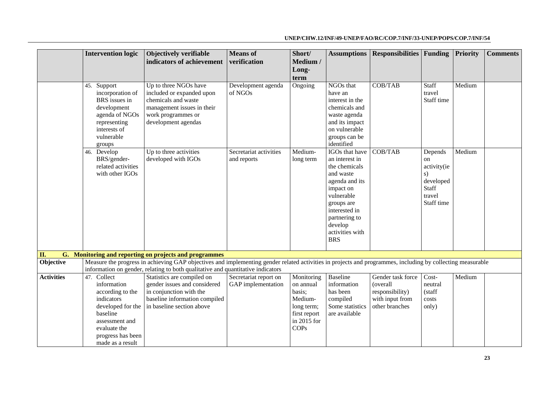|                   | <b>Intervention logic</b>       | Objectively verifiable                                                                                                                                     | <b>Means</b> of               | Short/        | <b>Assumptions</b>          | <b>Responsibilities Funding</b> |                           | Priority | <b>Comments</b> |
|-------------------|---------------------------------|------------------------------------------------------------------------------------------------------------------------------------------------------------|-------------------------------|---------------|-----------------------------|---------------------------------|---------------------------|----------|-----------------|
|                   |                                 | indicators of achievement                                                                                                                                  | verification                  | Medium /      |                             |                                 |                           |          |                 |
|                   |                                 |                                                                                                                                                            |                               | Long-         |                             |                                 |                           |          |                 |
|                   |                                 |                                                                                                                                                            |                               | term          |                             |                                 |                           |          |                 |
|                   | 45. Support<br>incorporation of | Up to three NGOs have<br>included or expanded upon                                                                                                         | Development agenda<br>of NGOs | Ongoing       | NGOs that<br>have an        | COB/TAB                         | Staff<br>travel           | Medium   |                 |
|                   | BRS issues in                   | chemicals and waste                                                                                                                                        |                               |               | interest in the             |                                 | Staff time                |          |                 |
|                   | development                     | management issues in their                                                                                                                                 |                               |               | chemicals and               |                                 |                           |          |                 |
|                   | agenda of NGOs                  | work programmes or                                                                                                                                         |                               |               | waste agenda                |                                 |                           |          |                 |
|                   | representing                    | development agendas                                                                                                                                        |                               |               | and its impact              |                                 |                           |          |                 |
|                   | interests of                    |                                                                                                                                                            |                               |               | on vulnerable               |                                 |                           |          |                 |
|                   | vulnerable                      |                                                                                                                                                            |                               |               | groups can be               |                                 |                           |          |                 |
|                   | groups                          |                                                                                                                                                            |                               |               | identified                  |                                 |                           |          |                 |
|                   | 46. Develop                     | Up to three activities                                                                                                                                     | Secretariat activities        | Medium-       | IGOs that have              | COB/TAB                         | Depends                   | Medium   |                 |
|                   | BRS/gender-                     | developed with IGOs                                                                                                                                        | and reports                   | long term     | an interest in              |                                 | <sub>on</sub>             |          |                 |
|                   | related activities              |                                                                                                                                                            |                               |               | the chemicals               |                                 | activity(ie               |          |                 |
|                   | with other IGOs                 |                                                                                                                                                            |                               |               | and waste                   |                                 | s)                        |          |                 |
|                   |                                 |                                                                                                                                                            |                               |               | agenda and its<br>impact on |                                 | developed<br><b>Staff</b> |          |                 |
|                   |                                 |                                                                                                                                                            |                               |               | vulnerable                  |                                 | travel                    |          |                 |
|                   |                                 |                                                                                                                                                            |                               |               | groups are                  |                                 | Staff time                |          |                 |
|                   |                                 |                                                                                                                                                            |                               |               | interested in               |                                 |                           |          |                 |
|                   |                                 |                                                                                                                                                            |                               |               | partnering to               |                                 |                           |          |                 |
|                   |                                 |                                                                                                                                                            |                               |               | develop                     |                                 |                           |          |                 |
|                   |                                 |                                                                                                                                                            |                               |               | activities with             |                                 |                           |          |                 |
|                   |                                 |                                                                                                                                                            |                               |               | <b>BRS</b>                  |                                 |                           |          |                 |
| II.               |                                 | G. Monitoring and reporting on projects and programmes                                                                                                     |                               |               |                             |                                 |                           |          |                 |
| Objective         |                                 | Measure the progress in achieving GAP objectives and implementing gender related activities in projects and programmes, including by collecting measurable |                               |               |                             |                                 |                           |          |                 |
|                   |                                 | information on gender, relating to both qualitative and quantitative indicators                                                                            |                               |               |                             |                                 |                           |          |                 |
| <b>Activities</b> | 47. Collect                     | Statistics are compiled on                                                                                                                                 | Secretariat report on         | Monitoring    | <b>Baseline</b>             | Gender task force               | Cost-                     | Medium   |                 |
|                   | information                     | gender issues and considered                                                                                                                               | GAP implementation            | on annual     | information                 | (overall                        | neutral                   |          |                 |
|                   | according to the                | in conjunction with the                                                                                                                                    |                               | basis;        | has been                    | responsibility)                 | (staff                    |          |                 |
|                   | indicators                      | baseline information compiled                                                                                                                              |                               | Medium-       | compiled                    | with input from                 | costs                     |          |                 |
|                   | developed for the               | in baseline section above                                                                                                                                  |                               | long term;    | Some statistics             | other branches                  | only)                     |          |                 |
|                   | baseline                        |                                                                                                                                                            |                               | first report  | are available               |                                 |                           |          |                 |
|                   | assessment and                  |                                                                                                                                                            |                               | in $2015$ for |                             |                                 |                           |          |                 |
|                   | evaluate the                    |                                                                                                                                                            |                               | <b>COPs</b>   |                             |                                 |                           |          |                 |
|                   | progress has been               |                                                                                                                                                            |                               |               |                             |                                 |                           |          |                 |
|                   | made as a result                |                                                                                                                                                            |                               |               |                             |                                 |                           |          |                 |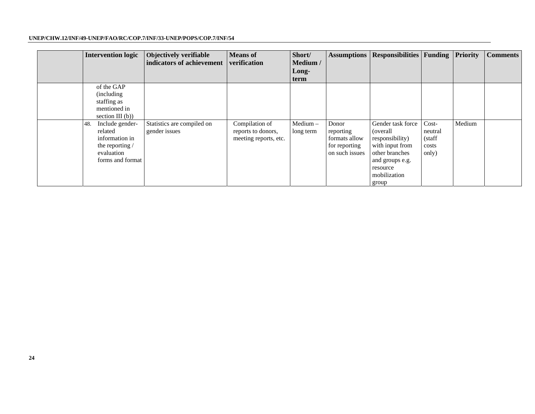| <b>Intervention logic</b>                                                                                | Objectively verifiable<br>indicators of achievement | <b>Means</b> of<br>verification                               | Short/<br>Medium /<br>Long-<br>term |                                                                        | <b>Assumptions   Responsibilities   Funding</b>                                                                                                |                                                | <b>Priority</b> | <b>Comments</b> |
|----------------------------------------------------------------------------------------------------------|-----------------------------------------------------|---------------------------------------------------------------|-------------------------------------|------------------------------------------------------------------------|------------------------------------------------------------------------------------------------------------------------------------------------|------------------------------------------------|-----------------|-----------------|
| of the GAP<br>(including)<br>staffing as<br>mentioned in<br>section III $(b)$ )                          |                                                     |                                                               |                                     |                                                                        |                                                                                                                                                |                                                |                 |                 |
| Include gender-<br>48.<br>related<br>information in<br>the reporting /<br>evaluation<br>forms and format | Statistics are compiled on<br>gender issues         | Compilation of<br>reports to donors,<br>meeting reports, etc. | Medium-<br>long term                | Donor<br>reporting<br>formats allow<br>for reporting<br>on such issues | Gender task force<br>(overall)<br>responsibility)<br>with input from<br>other branches<br>and groups e.g.<br>resource<br>mobilization<br>group | $Cost-$<br>neutral<br>(staff<br>costs<br>only) | Medium          |                 |